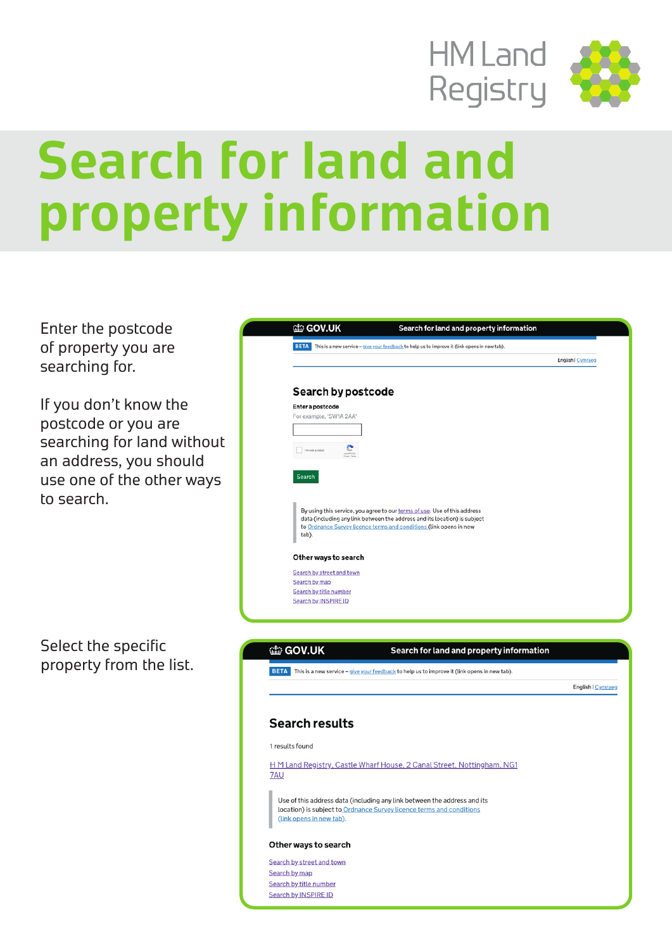

## **Search for land and property information**

Enter the postcode of property you are searching for.

If you don't know the postcode or you are searching for land without an address, you should use one of the other ways to search.

|                           | BETA This is a new service - give your feedback to help us to improve it (link opens in new tab).                                                      |                   |
|---------------------------|--------------------------------------------------------------------------------------------------------------------------------------------------------|-------------------|
|                           |                                                                                                                                                        | English   Cymraeg |
|                           |                                                                                                                                                        |                   |
| Search by postcode        |                                                                                                                                                        |                   |
| Enter a postcode          |                                                                                                                                                        |                   |
| For example, 'SW1A 2AA'   |                                                                                                                                                        |                   |
|                           |                                                                                                                                                        |                   |
|                           |                                                                                                                                                        |                   |
| (im not a robot)          |                                                                                                                                                        |                   |
|                           |                                                                                                                                                        |                   |
|                           |                                                                                                                                                        |                   |
| Search                    |                                                                                                                                                        |                   |
|                           |                                                                                                                                                        |                   |
|                           |                                                                                                                                                        |                   |
|                           | By using this service, you agree to our terms of use. Use of this address<br>data (including any link between the address and its location) is subject |                   |
|                           | to Ordnance Survey licence terms and conditions (link opens in new                                                                                     |                   |
| tab).                     |                                                                                                                                                        |                   |
|                           |                                                                                                                                                        |                   |
| Other ways to search      |                                                                                                                                                        |                   |
| Search by street and town |                                                                                                                                                        |                   |
| Search by map             |                                                                                                                                                        |                   |
| Search by title number    |                                                                                                                                                        |                   |
| Search by INSPIRE ID      |                                                                                                                                                        |                   |

Select the specific property from the list.

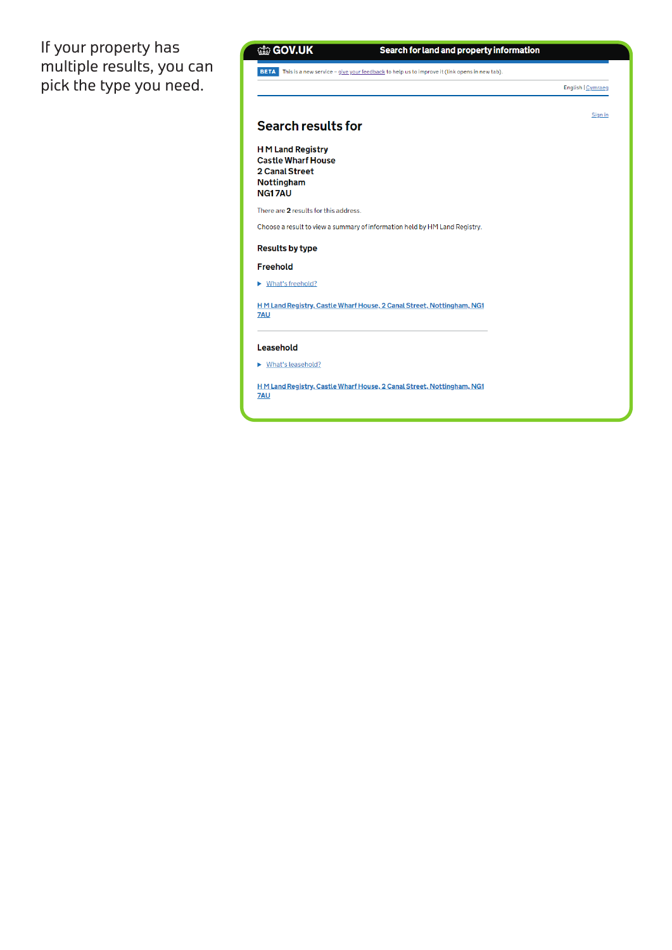If your property has multiple results, you can pick the type you need.

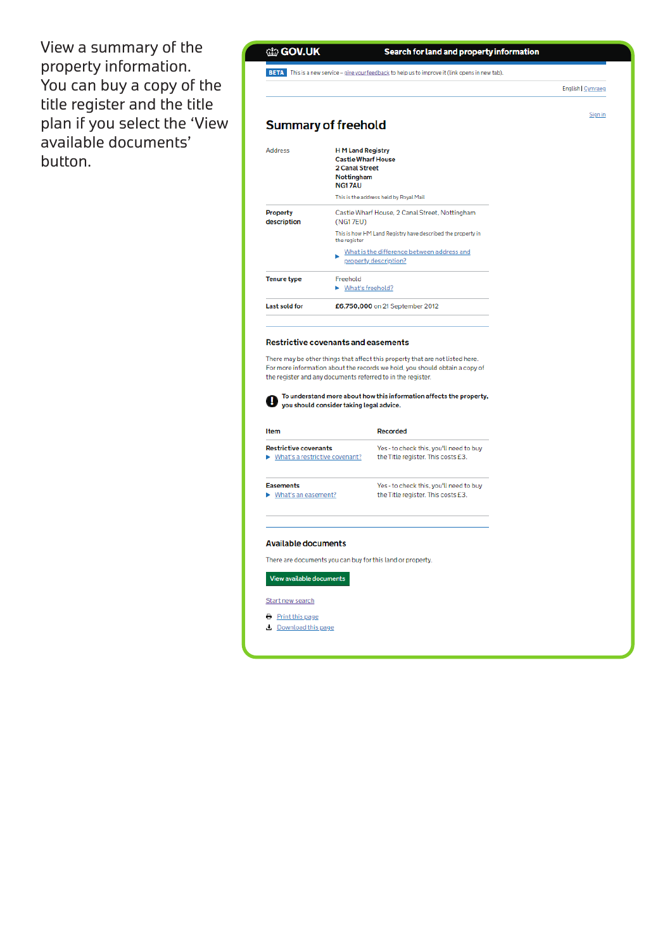View a summary of the property information. You can buy a copy of the title register and the title plan if you select the 'View available documents' button.

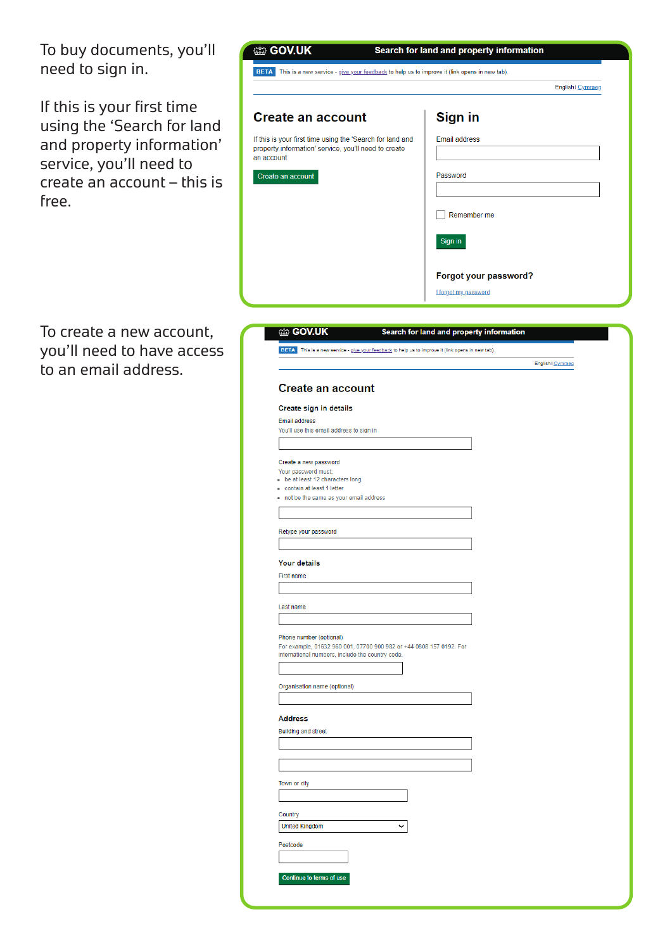To buy documents, you'll need to sign in.

If this is your first time using the 'Search for land and property information' service, you'll need to create an account – this is free.

To create a new account, you'll need to have access to an email address.

|                                                                                                                   | <b>BETA</b> This is a new service - give your feedback to help us to improve it (link opens in new tab). |
|-------------------------------------------------------------------------------------------------------------------|----------------------------------------------------------------------------------------------------------|
|                                                                                                                   | English   Cymraeg                                                                                        |
| <b>Create an account</b>                                                                                          |                                                                                                          |
|                                                                                                                   | Sign in                                                                                                  |
| If this is your first time using the 'Search for land and<br>property information' service, you'll need to create | <b>Email address</b>                                                                                     |
| an account.                                                                                                       |                                                                                                          |
| Create an account                                                                                                 | Password                                                                                                 |
|                                                                                                                   |                                                                                                          |
|                                                                                                                   | Remember me                                                                                              |
|                                                                                                                   |                                                                                                          |
|                                                                                                                   | Sign in                                                                                                  |
|                                                                                                                   |                                                                                                          |
|                                                                                                                   | Forgot your password?                                                                                    |
|                                                                                                                   | I forgot my password                                                                                     |
|                                                                                                                   |                                                                                                          |
| <b>GOV.UK</b>                                                                                                     | Search for land and property information                                                                 |
| BETA This is a new service - give your feedback to help us to improve it (link opens in new tab).                 |                                                                                                          |
|                                                                                                                   | English   Cymraeg                                                                                        |
| <b>Create an account</b>                                                                                          |                                                                                                          |
|                                                                                                                   |                                                                                                          |
| Create sign in details<br>Email address                                                                           |                                                                                                          |
| You'll use this email address to sign in                                                                          |                                                                                                          |
|                                                                                                                   |                                                                                                          |
|                                                                                                                   |                                                                                                          |
| Create a new password<br>Your password must:                                                                      |                                                                                                          |
| - be at least 12 characters long                                                                                  |                                                                                                          |
| - contain at least 1 letter<br>- not be the same as your email address                                            |                                                                                                          |
|                                                                                                                   |                                                                                                          |
|                                                                                                                   |                                                                                                          |
| Retype your password                                                                                              |                                                                                                          |
|                                                                                                                   |                                                                                                          |
| <b>Your details</b>                                                                                               |                                                                                                          |
| <b>First name</b>                                                                                                 |                                                                                                          |
|                                                                                                                   |                                                                                                          |
|                                                                                                                   |                                                                                                          |
| Last name                                                                                                         |                                                                                                          |
|                                                                                                                   |                                                                                                          |
| Phone number (optional)                                                                                           |                                                                                                          |
| For example, 01632 960 001, 07700 900 982 or +44 0808 157 0192. For                                               |                                                                                                          |
| international numbers, include the country code.                                                                  |                                                                                                          |
|                                                                                                                   |                                                                                                          |
| Organisation name (optional)                                                                                      |                                                                                                          |
|                                                                                                                   |                                                                                                          |
| <b>Address</b>                                                                                                    |                                                                                                          |
| <b>Building and street</b>                                                                                        |                                                                                                          |
|                                                                                                                   |                                                                                                          |
|                                                                                                                   |                                                                                                          |
|                                                                                                                   |                                                                                                          |
| Town or city                                                                                                      |                                                                                                          |
|                                                                                                                   |                                                                                                          |
| Country                                                                                                           |                                                                                                          |
| <b>United Kingdom</b><br>v                                                                                        |                                                                                                          |
|                                                                                                                   |                                                                                                          |
| Postcode                                                                                                          |                                                                                                          |
|                                                                                                                   |                                                                                                          |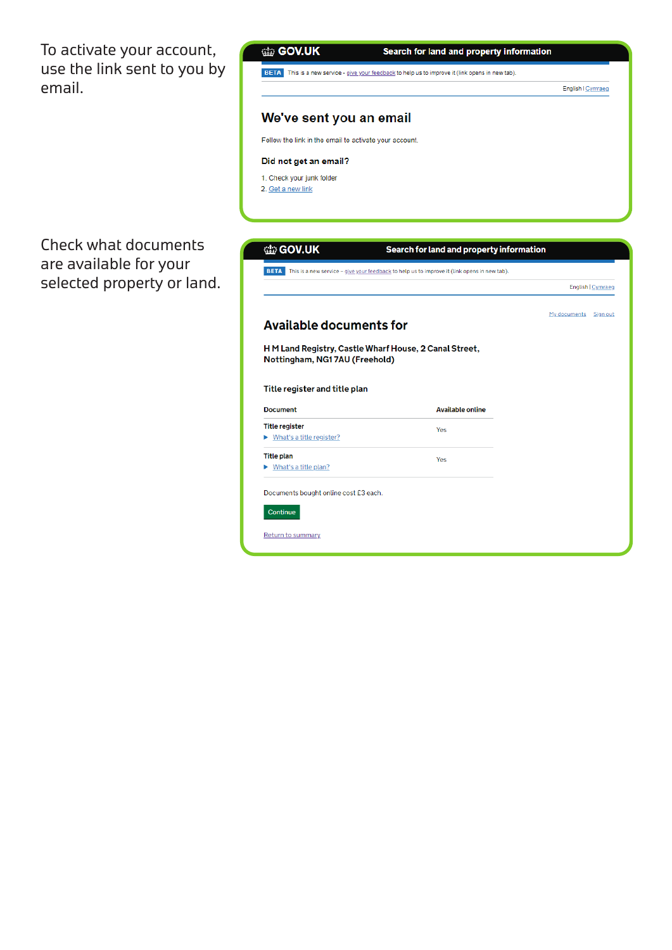To activate your account, use the link sent to you by email.

Check what documents are available for your

selected property or land.

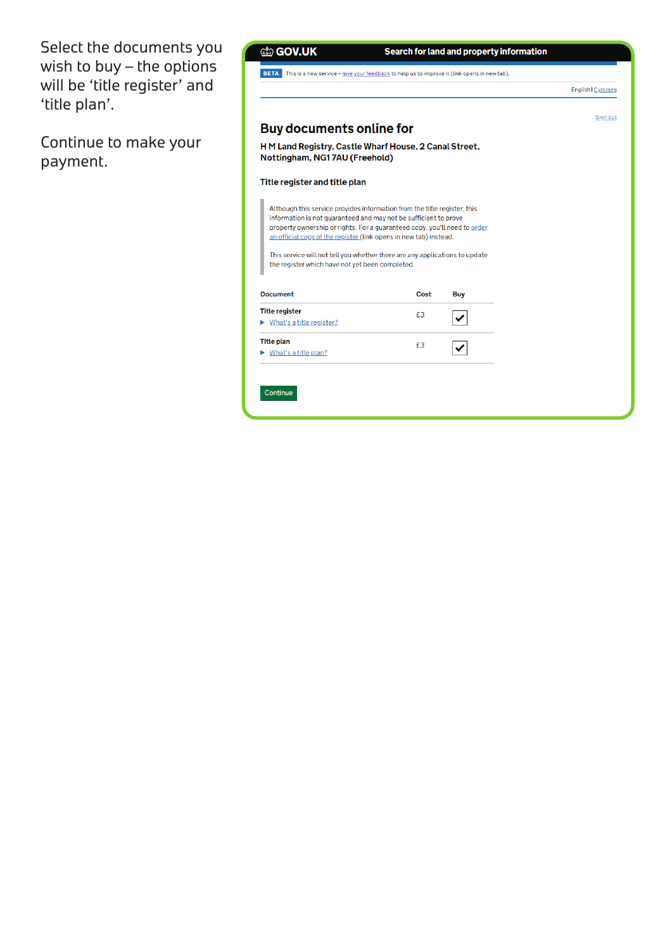Select the documents you wish to buy  $-$  the options will be 'title register' and 'title plan'.

Continue to make your payment.

|                                                                                                                                                                                                                                                                                                                                                                                                                                                     |                                                                                              | Search for land and property information |                        |
|-----------------------------------------------------------------------------------------------------------------------------------------------------------------------------------------------------------------------------------------------------------------------------------------------------------------------------------------------------------------------------------------------------------------------------------------------------|----------------------------------------------------------------------------------------------|------------------------------------------|------------------------|
| <b>BETA</b>                                                                                                                                                                                                                                                                                                                                                                                                                                         | This is a new service - give your feedback to help us to improve it (link opens in new tab). |                                          |                        |
|                                                                                                                                                                                                                                                                                                                                                                                                                                                     |                                                                                              |                                          | <b>English Cymraeg</b> |
|                                                                                                                                                                                                                                                                                                                                                                                                                                                     |                                                                                              |                                          | Sign out               |
| <b>Buy documents online for</b>                                                                                                                                                                                                                                                                                                                                                                                                                     |                                                                                              |                                          |                        |
| H M Land Registry, Castle Wharf House, 2 Canal Street,<br>Nottingham, NG17AU (Freehold)                                                                                                                                                                                                                                                                                                                                                             |                                                                                              |                                          |                        |
| Title register and title plan                                                                                                                                                                                                                                                                                                                                                                                                                       |                                                                                              |                                          |                        |
|                                                                                                                                                                                                                                                                                                                                                                                                                                                     |                                                                                              |                                          |                        |
| Although this service provides information from the title register, this<br>information is not guaranteed and may not be sufficient to prove<br>property ownership or rights. For a guaranteed copy, you'll need to order<br>an official copy of the register (link opens in new tab) instead.<br>This service will not tell you whether there are any applications to update<br>the register which have not yet been completed.<br><b>Document</b> | Cost                                                                                         | Buy                                      |                        |
| <b>Title register</b>                                                                                                                                                                                                                                                                                                                                                                                                                               |                                                                                              |                                          |                        |
| $\triangleright$ What's a title register?                                                                                                                                                                                                                                                                                                                                                                                                           | £3                                                                                           |                                          |                        |
| <b>Title plan</b>                                                                                                                                                                                                                                                                                                                                                                                                                                   | £3                                                                                           |                                          |                        |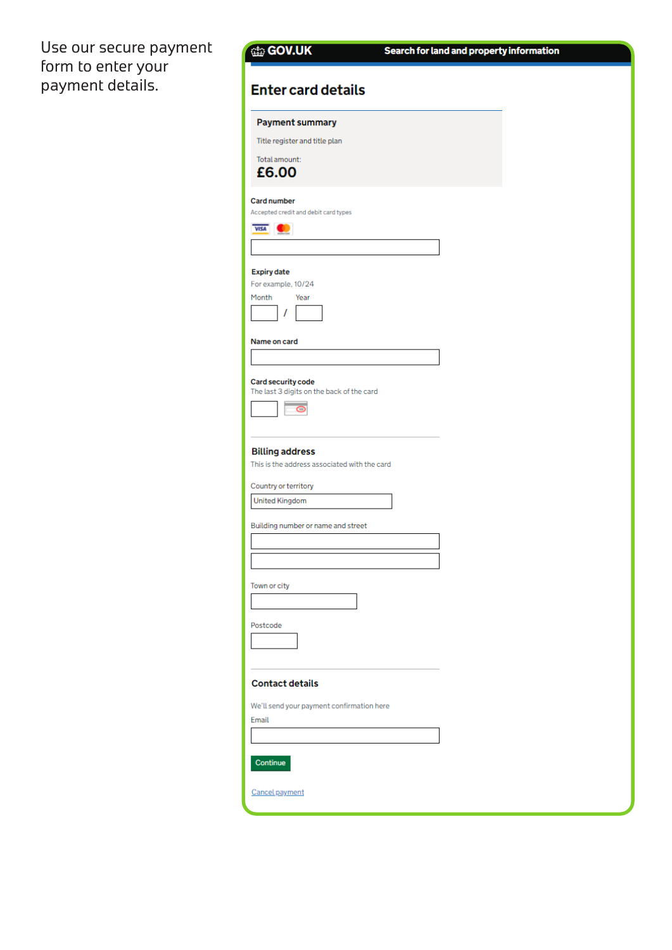Use our secure payment form to enter your payment details.

| <b>Enter card details</b><br><b>Payment summary</b><br>Title register and title plan<br>Total amount:<br>£6.00<br><b>Card number</b><br>Accepted credit and debit card types<br><b>VISA</b><br><b>Expiry date</b><br>For example, 10/24<br>Month<br>Year<br>Name on card<br><b>Card security code</b><br>The last 3 digits on the back of the card<br><b>Billing address</b><br>This is the address associated with the card<br>Country or territory<br><b>United Kingdom</b><br>Building number or name and street |
|---------------------------------------------------------------------------------------------------------------------------------------------------------------------------------------------------------------------------------------------------------------------------------------------------------------------------------------------------------------------------------------------------------------------------------------------------------------------------------------------------------------------|
|                                                                                                                                                                                                                                                                                                                                                                                                                                                                                                                     |
|                                                                                                                                                                                                                                                                                                                                                                                                                                                                                                                     |
|                                                                                                                                                                                                                                                                                                                                                                                                                                                                                                                     |
|                                                                                                                                                                                                                                                                                                                                                                                                                                                                                                                     |
|                                                                                                                                                                                                                                                                                                                                                                                                                                                                                                                     |
|                                                                                                                                                                                                                                                                                                                                                                                                                                                                                                                     |
|                                                                                                                                                                                                                                                                                                                                                                                                                                                                                                                     |
|                                                                                                                                                                                                                                                                                                                                                                                                                                                                                                                     |
|                                                                                                                                                                                                                                                                                                                                                                                                                                                                                                                     |
|                                                                                                                                                                                                                                                                                                                                                                                                                                                                                                                     |
|                                                                                                                                                                                                                                                                                                                                                                                                                                                                                                                     |
|                                                                                                                                                                                                                                                                                                                                                                                                                                                                                                                     |
|                                                                                                                                                                                                                                                                                                                                                                                                                                                                                                                     |
|                                                                                                                                                                                                                                                                                                                                                                                                                                                                                                                     |
|                                                                                                                                                                                                                                                                                                                                                                                                                                                                                                                     |
|                                                                                                                                                                                                                                                                                                                                                                                                                                                                                                                     |
|                                                                                                                                                                                                                                                                                                                                                                                                                                                                                                                     |
|                                                                                                                                                                                                                                                                                                                                                                                                                                                                                                                     |
|                                                                                                                                                                                                                                                                                                                                                                                                                                                                                                                     |
| Town or city                                                                                                                                                                                                                                                                                                                                                                                                                                                                                                        |
|                                                                                                                                                                                                                                                                                                                                                                                                                                                                                                                     |
| Postcode                                                                                                                                                                                                                                                                                                                                                                                                                                                                                                            |
|                                                                                                                                                                                                                                                                                                                                                                                                                                                                                                                     |
| <b>Contact details</b>                                                                                                                                                                                                                                                                                                                                                                                                                                                                                              |
| We'll send your payment confirmation here                                                                                                                                                                                                                                                                                                                                                                                                                                                                           |
| Email                                                                                                                                                                                                                                                                                                                                                                                                                                                                                                               |
|                                                                                                                                                                                                                                                                                                                                                                                                                                                                                                                     |
| Continue                                                                                                                                                                                                                                                                                                                                                                                                                                                                                                            |
| Cancel payment                                                                                                                                                                                                                                                                                                                                                                                                                                                                                                      |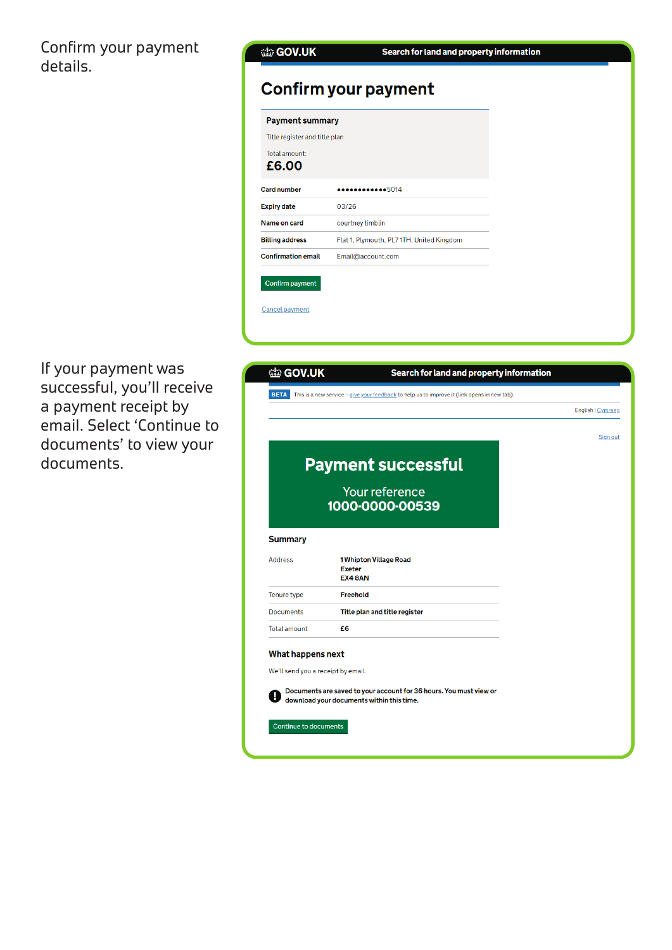## Confirm your payment details.

If your payment was successful, you'll receive a payment receipt by email. Select 'Continue to documents' to view your documents.

**@GOV.UK** 

## Search for land and property information

## **Confirm your payment**

| <b>Payment summary</b>        |                                           |
|-------------------------------|-------------------------------------------|
| Title register and title plan |                                           |
| Total amount:<br>£6.00        |                                           |
| <b>Card number</b>            | 00000000000005014                         |
| <b>Expiry date</b>            | 03/26                                     |
| Name on card                  | courtney timblin                          |
| <b>Billing address</b>        | Flat 1, Plymouth, PL7 1TH, United Kingdom |
| <b>Confirmation email</b>     | Email@account.com                         |
| Confirm payment               |                                           |
| <b>Cancel payment</b>         |                                           |
|                               |                                           |